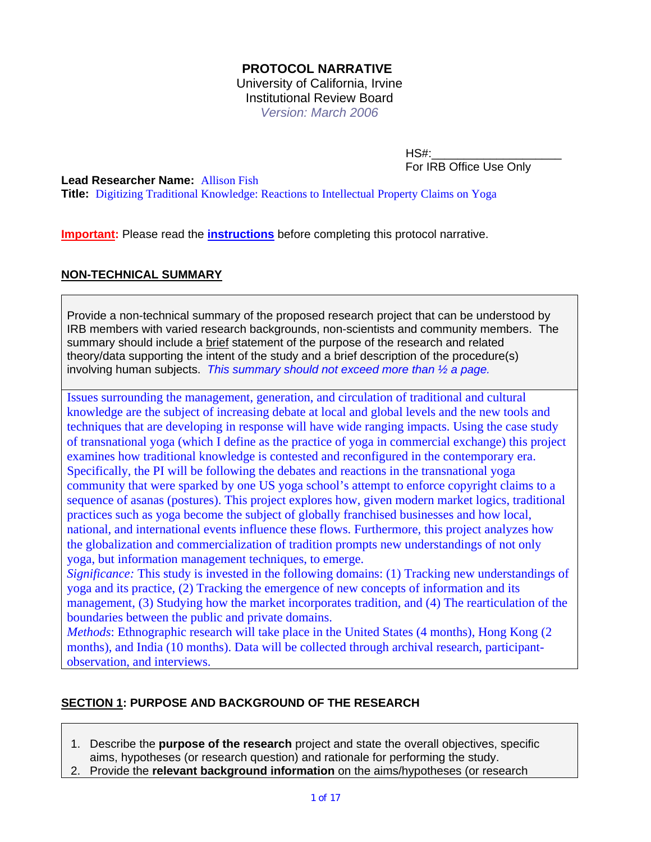### **PROTOCOL NARRATIVE**  University of California, Irvine Institutional Review Board *Version: March 2006*

 HS#:\_\_\_\_\_\_\_\_\_\_\_\_\_\_\_\_\_\_\_\_ For IRB Office Use Only

**Lead Researcher Name:** Allison Fish

**Title:** Digitizing Traditional Knowledge: Reactions to Intellectual Property Claims on Yoga

**Important:** Please read the **[instructions](http://www.rgs.uci.edu/hs/e-irbapp/instructions-narrative.htm)** before completing this protocol narrative.

#### **NON-TECHNICAL SUMMARY**

Provide a non-technical summary of the proposed research project that can be understood by IRB members with varied research backgrounds, non-scientists and community members. The summary should include a brief statement of the purpose of the research and related theory/data supporting the intent of the study and a brief description of the procedure(s) involving human subjects. *This summary should not exceed more than ½ a page.* 

Issues surrounding the management, generation, and circulation of traditional and cultural knowledge are the subject of increasing debate at local and global levels and the new tools and techniques that are developing in response will have wide ranging impacts. Using the case study of transnational yoga (which I define as the practice of yoga in commercial exchange) this project examines how traditional knowledge is contested and reconfigured in the contemporary era. Specifically, the PI will be following the debates and reactions in the transnational yoga community that were sparked by one US yoga school's attempt to enforce copyright claims to a sequence of asanas (postures). This project explores how, given modern market logics, traditional practices such as yoga become the subject of globally franchised businesses and how local, national, and international events influence these flows. Furthermore, this project analyzes how the globalization and commercialization of tradition prompts new understandings of not only yoga, but information management techniques, to emerge.

*Significance:* This study is invested in the following domains: (1) Tracking new understandings of yoga and its practice, (2) Tracking the emergence of new concepts of information and its management, (3) Studying how the market incorporates tradition, and (4) The rearticulation of the boundaries between the public and private domains.

*Methods*: Ethnographic research will take place in the United States (4 months), Hong Kong (2) months), and India (10 months). Data will be collected through archival research, participantobservation, and interviews.

### **SECTION 1: PURPOSE AND BACKGROUND OF THE RESEARCH**

- 1. Describe the **purpose of the research** project and state the overall objectives, specific aims, hypotheses (or research question) and rationale for performing the study.
- 2. Provide the **relevant background information** on the aims/hypotheses (or research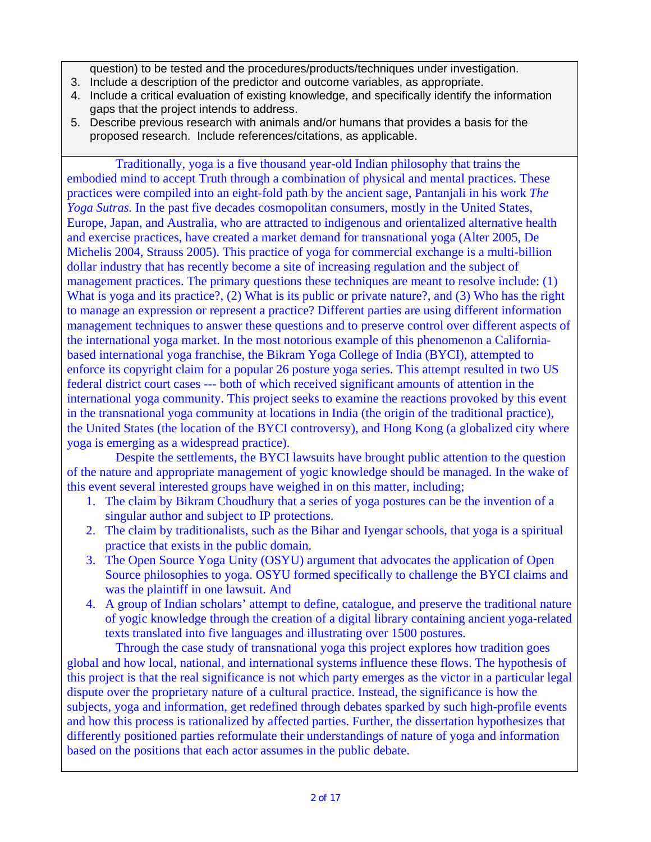question) to be tested and the procedures/products/techniques under investigation.

- 3. Include a description of the predictor and outcome variables, as appropriate.
- 4. Include a critical evaluation of existing knowledge, and specifically identify the information gaps that the project intends to address.
- 5. Describe previous research with animals and/or humans that provides a basis for the proposed research. Include references/citations, as applicable.

 Traditionally, yoga is a five thousand year-old Indian philosophy that trains the embodied mind to accept Truth through a combination of physical and mental practices. These practices were compiled into an eight-fold path by the ancient sage, Pantanjali in his work *The Yoga Sutras.* In the past five decades cosmopolitan consumers, mostly in the United States, Europe, Japan, and Australia, who are attracted to indigenous and orientalized alternative health and exercise practices, have created a market demand for transnational yoga (Alter 2005, De Michelis 2004, Strauss 2005). This practice of yoga for commercial exchange is a multi-billion dollar industry that has recently become a site of increasing regulation and the subject of management practices. The primary questions these techniques are meant to resolve include: (1) What is yoga and its practice?, (2) What is its public or private nature?, and (3) Who has the right to manage an expression or represent a practice? Different parties are using different information management techniques to answer these questions and to preserve control over different aspects of the international yoga market. In the most notorious example of this phenomenon a Californiabased international yoga franchise, the Bikram Yoga College of India (BYCI), attempted to enforce its copyright claim for a popular 26 posture yoga series. This attempt resulted in two US federal district court cases --- both of which received significant amounts of attention in the international yoga community. This project seeks to examine the reactions provoked by this event in the transnational yoga community at locations in India (the origin of the traditional practice), the United States (the location of the BYCI controversy), and Hong Kong (a globalized city where yoga is emerging as a widespread practice).

 Despite the settlements, the BYCI lawsuits have brought public attention to the question of the nature and appropriate management of yogic knowledge should be managed. In the wake of this event several interested groups have weighed in on this matter, including;

- 1. The claim by Bikram Choudhury that a series of yoga postures can be the invention of a singular author and subject to IP protections.
- 2. The claim by traditionalists, such as the Bihar and Iyengar schools, that yoga is a spiritual practice that exists in the public domain.
- 3. The Open Source Yoga Unity (OSYU) argument that advocates the application of Open Source philosophies to yoga. OSYU formed specifically to challenge the BYCI claims and was the plaintiff in one lawsuit. And
- 4. A group of Indian scholars' attempt to define, catalogue, and preserve the traditional nature of yogic knowledge through the creation of a digital library containing ancient yoga-related texts translated into five languages and illustrating over 1500 postures.

 Through the case study of transnational yoga this project explores how tradition goes global and how local, national, and international systems influence these flows. The hypothesis of this project is that the real significance is not which party emerges as the victor in a particular legal dispute over the proprietary nature of a cultural practice. Instead, the significance is how the subjects, yoga and information, get redefined through debates sparked by such high-profile events and how this process is rationalized by affected parties. Further, the dissertation hypothesizes that differently positioned parties reformulate their understandings of nature of yoga and information based on the positions that each actor assumes in the public debate.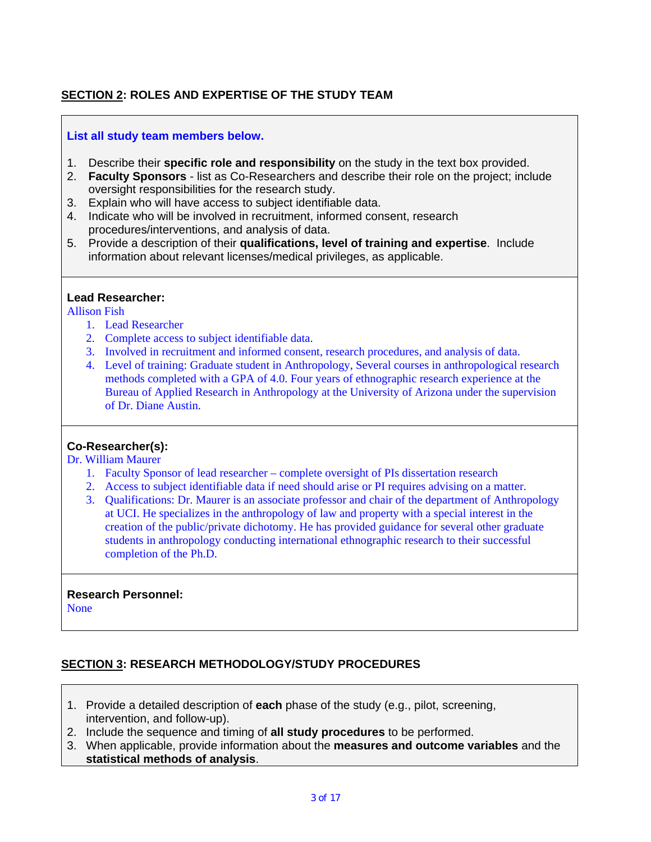## **SECTION 2: ROLES AND EXPERTISE OF THE STUDY TEAM**

### **List all study team members below.**

- 1. Describe their **specific role and responsibility** on the study in the text box provided.
- 2. **Faculty Sponsors** list as Co-Researchers and describe their role on the project; include oversight responsibilities for the research study.
- 3. Explain who will have access to subject identifiable data.
- 4. Indicate who will be involved in recruitment, informed consent, research procedures/interventions, and analysis of data.
- 5. Provide a description of their **qualifications, level of training and expertise**. Include information about relevant licenses/medical privileges, as applicable.

#### **Lead Researcher:**

Allison Fish

- 1. Lead Researcher
- 2. Complete access to subject identifiable data.
- 3. Involved in recruitment and informed consent, research procedures, and analysis of data.
- 4. Level of training: Graduate student in Anthropology, Several courses in anthropological research methods completed with a GPA of 4.0. Four years of ethnographic research experience at the Bureau of Applied Research in Anthropology at the University of Arizona under the supervision of Dr. Diane Austin.

### **Co-Researcher(s):**

Dr. William Maurer

- 1. Faculty Sponsor of lead researcher complete oversight of PIs dissertation research
- 2. Access to subject identifiable data if need should arise or PI requires advising on a matter.
- 3. Qualifications: Dr. Maurer is an associate professor and chair of the department of Anthropology at UCI. He specializes in the anthropology of law and property with a special interest in the creation of the public/private dichotomy. He has provided guidance for several other graduate students in anthropology conducting international ethnographic research to their successful completion of the Ph.D.

#### **Research Personnel:**

None

### **SECTION 3: RESEARCH METHODOLOGY/STUDY PROCEDURES**

- 1. Provide a detailed description of **each** phase of the study (e.g., pilot, screening, intervention, and follow-up).
- 2. Include the sequence and timing of **all study procedures** to be performed.
- 3. When applicable, provide information about the **measures and outcome variables** and the **statistical methods of analysis**.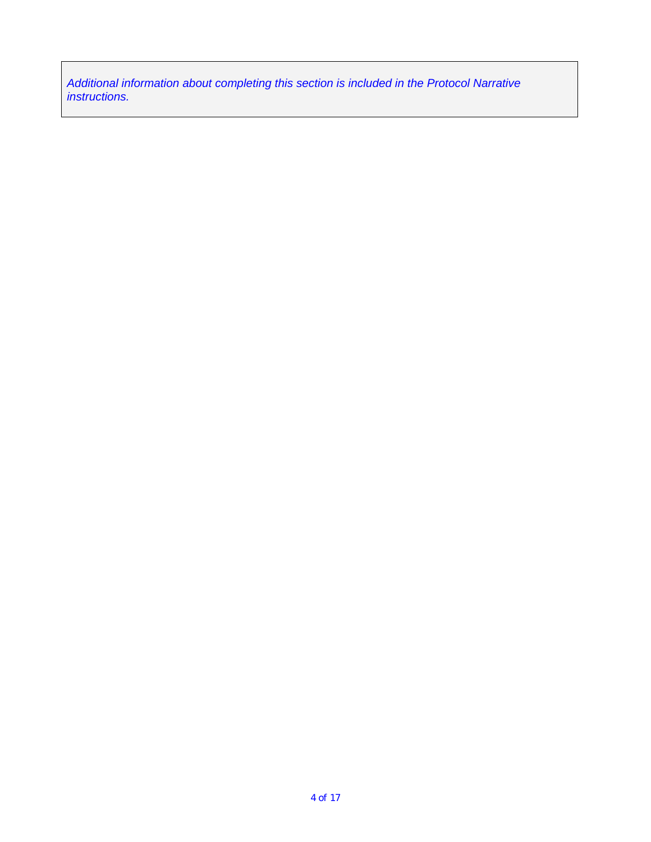*Additional information about completing this section is included in the Protocol Narrative instructions.*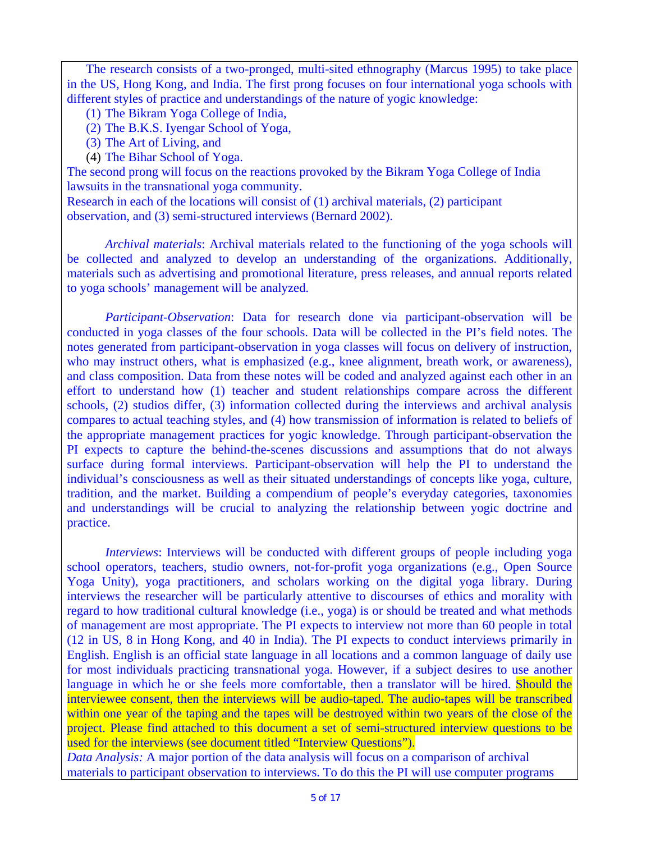The research consists of a two-pronged, multi-sited ethnography (Marcus 1995) to take place in the US, Hong Kong, and India. The first prong focuses on four international yoga schools with different styles of practice and understandings of the nature of yogic knowledge:

(1) The Bikram Yoga College of India,

(2) The B.K.S. Iyengar School of Yoga,

(3) The Art of Living, and

(4) The Bihar School of Yoga.

The second prong will focus on the reactions provoked by the Bikram Yoga College of India lawsuits in the transnational yoga community.

Research in each of the locations will consist of (1) archival materials, (2) participant observation, and (3) semi-structured interviews (Bernard 2002).

*Archival materials*: Archival materials related to the functioning of the yoga schools will be collected and analyzed to develop an understanding of the organizations. Additionally, materials such as advertising and promotional literature, press releases, and annual reports related to yoga schools' management will be analyzed.

*Participant-Observation*: Data for research done via participant-observation will be conducted in yoga classes of the four schools. Data will be collected in the PI's field notes. The notes generated from participant-observation in yoga classes will focus on delivery of instruction, who may instruct others, what is emphasized (e.g., knee alignment, breath work, or awareness), and class composition. Data from these notes will be coded and analyzed against each other in an effort to understand how (1) teacher and student relationships compare across the different schools, (2) studios differ, (3) information collected during the interviews and archival analysis compares to actual teaching styles, and (4) how transmission of information is related to beliefs of the appropriate management practices for yogic knowledge. Through participant-observation the PI expects to capture the behind-the-scenes discussions and assumptions that do not always surface during formal interviews. Participant-observation will help the PI to understand the individual's consciousness as well as their situated understandings of concepts like yoga, culture, tradition, and the market. Building a compendium of people's everyday categories, taxonomies and understandings will be crucial to analyzing the relationship between yogic doctrine and practice.

*Interviews*: Interviews will be conducted with different groups of people including yoga school operators, teachers, studio owners, not-for-profit yoga organizations (e.g., Open Source Yoga Unity), yoga practitioners, and scholars working on the digital yoga library. During interviews the researcher will be particularly attentive to discourses of ethics and morality with regard to how traditional cultural knowledge (i.e., yoga) is or should be treated and what methods of management are most appropriate. The PI expects to interview not more than 60 people in total (12 in US, 8 in Hong Kong, and 40 in India). The PI expects to conduct interviews primarily in English. English is an official state language in all locations and a common language of daily use for most individuals practicing transnational yoga. However, if a subject desires to use another language in which he or she feels more comfortable, then a translator will be hired. Should the interviewee consent, then the interviews will be audio-taped. The audio-tapes will be transcribed within one year of the taping and the tapes will be destroyed within two years of the close of the project. Please find attached to this document a set of semi-structured interview questions to be used for the interviews (see document titled "Interview Questions").

*Data Analysis:* A major portion of the data analysis will focus on a comparison of archival materials to participant observation to interviews. To do this the PI will use computer programs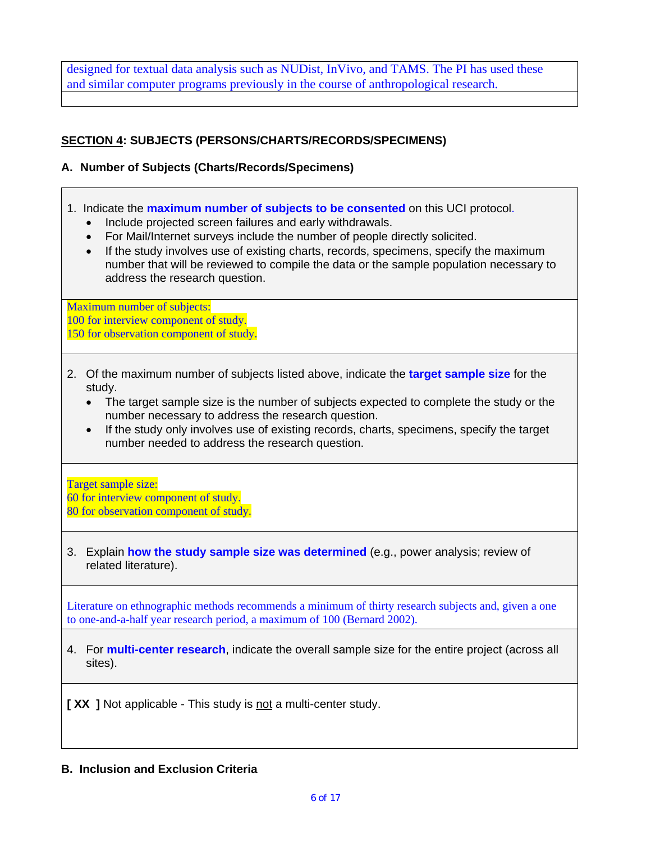designed for textual data analysis such as NUDist, InVivo, and TAMS. The PI has used these and similar computer programs previously in the course of anthropological research.

# **SECTION 4: SUBJECTS (PERSONS/CHARTS/RECORDS/SPECIMENS)**

- **A. Number of Subjects (Charts/Records/Specimens)**
- 1. Indicate the **maximum number of subjects to be consented** on this UCI protocol.
	- Include projected screen failures and early withdrawals.
	- For Mail/Internet surveys include the number of people directly solicited.
	- If the study involves use of existing charts, records, specimens, specify the maximum number that will be reviewed to compile the data or the sample population necessary to address the research question.

Maximum number of subjects: 100 for interview component of study. 150 for observation component of study.

- 2. Of the maximum number of subjects listed above, indicate the **target sample size** for the study.
	- The target sample size is the number of subjects expected to complete the study or the number necessary to address the research question.
	- If the study only involves use of existing records, charts, specimens, specify the target number needed to address the research question.

Target sample size: 60 for interview component of study.

- 80 for observation component of study.
- 3. Explain **how the study sample size was determined** (e.g., power analysis; review of related literature).

Literature on ethnographic methods recommends a minimum of thirty research subjects and, given a one to one-and-a-half year research period, a maximum of 100 (Bernard 2002).

4. For **multi-center research**, indicate the overall sample size for the entire project (across all sites).

**[XX ]** Not applicable - This study is not a multi-center study.

## **B. Inclusion and Exclusion Criteria**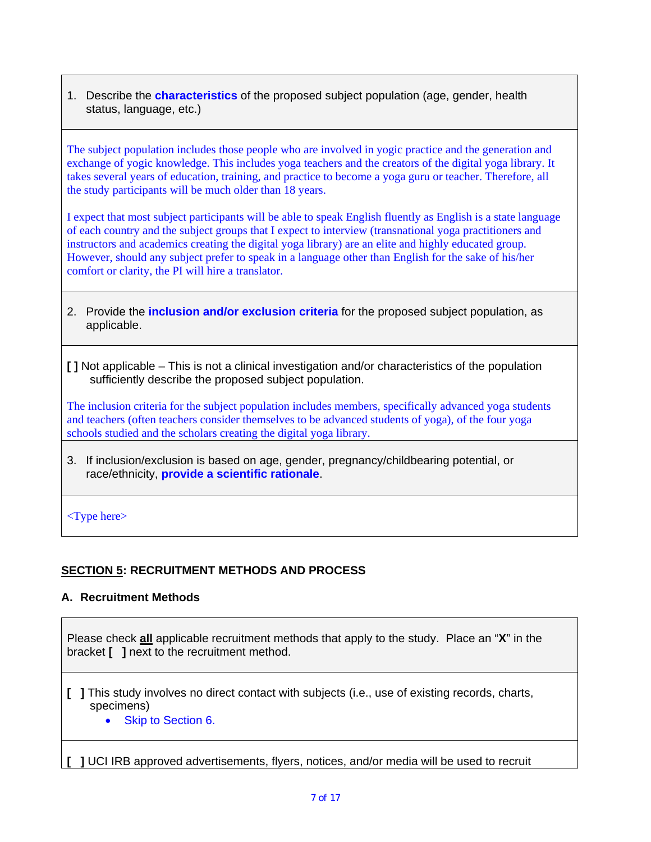1. Describe the **characteristics** of the proposed subject population (age, gender, health status, language, etc.)

The subject population includes those people who are involved in yogic practice and the generation and exchange of yogic knowledge. This includes yoga teachers and the creators of the digital yoga library. It takes several years of education, training, and practice to become a yoga guru or teacher. Therefore, all the study participants will be much older than 18 years.

I expect that most subject participants will be able to speak English fluently as English is a state language of each country and the subject groups that I expect to interview (transnational yoga practitioners and instructors and academics creating the digital yoga library) are an elite and highly educated group. However, should any subject prefer to speak in a language other than English for the sake of his/her comfort or clarity, the PI will hire a translator.

2. Provide the **inclusion and/or exclusion criteria** for the proposed subject population, as applicable.

**[ ]** Not applicable – This is not a clinical investigation and/or characteristics of the population sufficiently describe the proposed subject population.

The inclusion criteria for the subject population includes members, specifically advanced yoga students and teachers (often teachers consider themselves to be advanced students of yoga), of the four yoga schools studied and the scholars creating the digital yoga library.

3. If inclusion/exclusion is based on age, gender, pregnancy/childbearing potential, or race/ethnicity, **provide a scientific rationale**.

<Type here>

## **SECTION 5: RECRUITMENT METHODS AND PROCESS**

### **A. Recruitment Methods**

Please check **all** applicable recruitment methods that apply to the study. Place an "**X**" in the bracket **[ ]** next to the recruitment method.

- **[ ]** This study involves no direct contact with subjects (i.e., use of existing records, charts, specimens)
	- Skip to Section 6.

**[ ]** UCI IRB approved advertisements, flyers, notices, and/or media will be used to recruit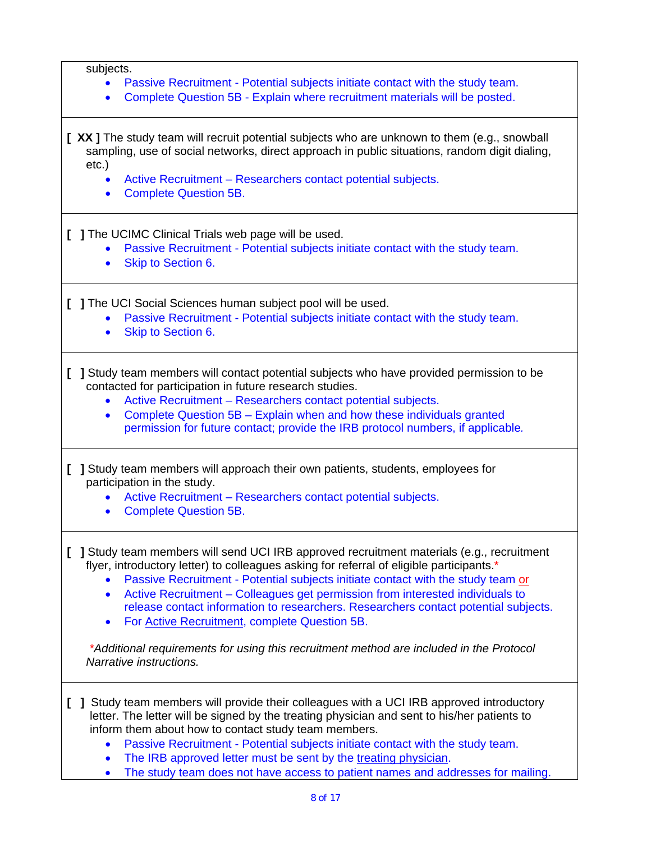subjects.

- Passive Recruitment Potential subjects initiate contact with the study team.
- Complete Question 5B Explain where recruitment materials will be posted.

**[ XX ]** The study team will recruit potential subjects who are unknown to them (e.g., snowball sampling, use of social networks, direct approach in public situations, random digit dialing, etc.)

- Active Recruitment Researchers contact potential subjects.
- Complete Question 5B.
- **[ ]** The UCIMC Clinical Trials web page will be used.
	- Passive Recruitment Potential subjects initiate contact with the study team.
	- Skip to Section 6.
- **[ ]** The UCI Social Sciences human subject pool will be used.
	- Passive Recruitment Potential subjects initiate contact with the study team.
	- Skip to Section 6.

**[ ]** Study team members will contact potential subjects who have provided permission to be contacted for participation in future research studies.

- Active Recruitment Researchers contact potential subjects.
- Complete Question 5B Explain when and how these individuals granted permission for future contact; provide the IRB protocol numbers, if applicable*.*
- **[ ]** Study team members will approach their own patients, students, employees for participation in the study.
	- Active Recruitment Researchers contact potential subjects.
	- Complete Question 5B.
- **[ ]** Study team members will send UCI IRB approved recruitment materials (e.g., recruitment flyer, introductory letter) to colleagues asking for referral of eligible participants.\*
	- Passive Recruitment Potential subjects initiate contact with the study team or
	- Active Recruitment Colleagues get permission from interested individuals to release contact information to researchers. Researchers contact potential subjects.
	- For Active Recruitment, complete Question 5B.

*\*Additional requirements for using this recruitment method are included in the Protocol Narrative instructions.* 

- **[ ]** Study team members will provide their colleagues with a UCI IRB approved introductory letter. The letter will be signed by the treating physician and sent to his/her patients to inform them about how to contact study team members.
	- Passive Recruitment Potential subjects initiate contact with the study team.
	- The IRB approved letter must be sent by the treating physician.
	- The study team does not have access to patient names and addresses for mailing.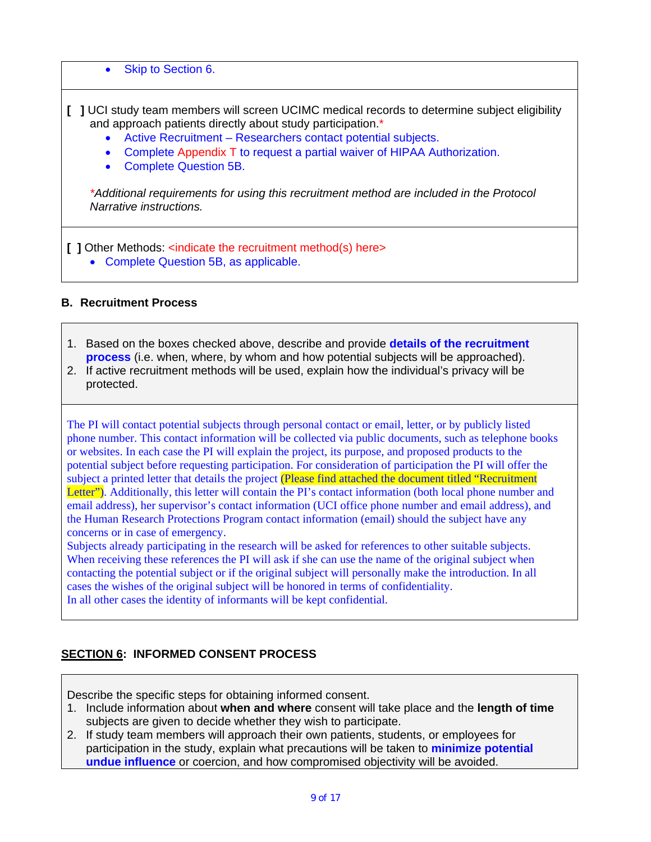Skip to Section 6.

- **[ ]** UCI study team members will screen UCIMC medical records to determine subject eligibility and approach patients directly about study participation.\*
	- Active Recruitment Researchers contact potential subjects.
	- Complete Appendix T to request a partial waiver of HIPAA Authorization.
	- Complete Question 5B.

*\*Additional requirements for using this recruitment method are included in the Protocol Narrative instructions.* 

**[ ] Other Methods: <indicate the recruitment method(s) here>** 

• Complete Question 5B, as applicable.

## **B. Recruitment Process**

- 1. Based on the boxes checked above, describe and provide **details of the recruitment process** (i.e. when, where, by whom and how potential subjects will be approached).
- 2. If active recruitment methods will be used, explain how the individual's privacy will be protected.

The PI will contact potential subjects through personal contact or email, letter, or by publicly listed phone number. This contact information will be collected via public documents, such as telephone books or websites. In each case the PI will explain the project, its purpose, and proposed products to the potential subject before requesting participation. For consideration of participation the PI will offer the subject a printed letter that details the project (Please find attached the document titled "Recruitment Letter"). Additionally, this letter will contain the PI's contact information (both local phone number and email address), her supervisor's contact information (UCI office phone number and email address), and the Human Research Protections Program contact information (email) should the subject have any concerns or in case of emergency.

Subjects already participating in the research will be asked for references to other suitable subjects. When receiving these references the PI will ask if she can use the name of the original subject when contacting the potential subject or if the original subject will personally make the introduction. In all cases the wishes of the original subject will be honored in terms of confidentiality. In all other cases the identity of informants will be kept confidential.

# **SECTION 6: INFORMED CONSENT PROCESS**

Describe the specific steps for obtaining informed consent.

- 1. Include information about **when and where** consent will take place and the **length of time** subjects are given to decide whether they wish to participate.
- 2. If study team members will approach their own patients, students, or employees for participation in the study, explain what precautions will be taken to **minimize potential undue influence** or coercion, and how compromised objectivity will be avoided.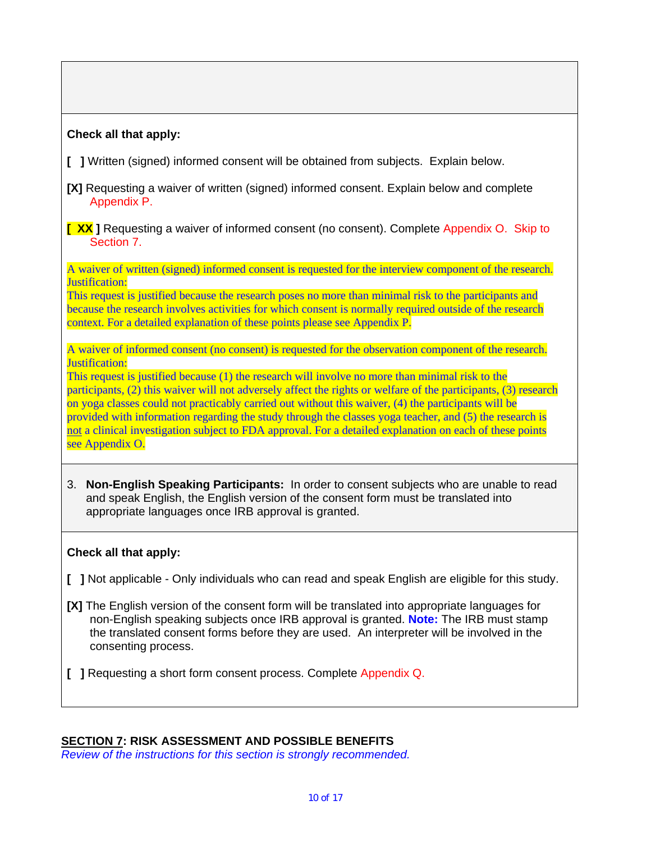# **Check all that apply:**

- **[ ]** Written (signed) informed consent will be obtained from subjects. Explain below.
- **[X]** Requesting a waiver of written (signed) informed consent. Explain below and complete Appendix P.
- **[ XX ]** Requesting a waiver of informed consent (no consent). Complete Appendix O. Skip to Section 7.

A waiver of written (signed) informed consent is requested for the interview component of the research. Justification:

This request is justified because the research poses no more than minimal risk to the participants and because the research involves activities for which consent is normally required outside of the research context. For a detailed explanation of these points please see Appendix P.

A waiver of informed consent (no consent) is requested for the observation component of the research. Justification:

This request is justified because (1) the research will involve no more than minimal risk to the participants, (2) this waiver will not adversely affect the rights or welfare of the participants, (3) research on yoga classes could not practicably carried out without this waiver, (4) the participants will be provided with information regarding the study through the classes yoga teacher, and (5) the research is not a clinical investigation subject to FDA approval. For a detailed explanation on each of these points see Appendix O.

3. **Non-English Speaking Participants:** In order to consent subjects who are unable to read and speak English, the English version of the consent form must be translated into appropriate languages once IRB approval is granted.

### **Check all that apply:**

- **[ ]** Not applicable Only individuals who can read and speak English are eligible for this study.
- **[X]** The English version of the consent form will be translated into appropriate languages for non-English speaking subjects once IRB approval is granted. **Note:** The IRB must stamp the translated consent forms before they are used. An interpreter will be involved in the consenting process.
- **[ ]** Requesting a short form consent process. Complete Appendix Q.

#### **SECTION 7: RISK ASSESSMENT AND POSSIBLE BENEFITS**

*Review of the instructions for this section is strongly recommended.*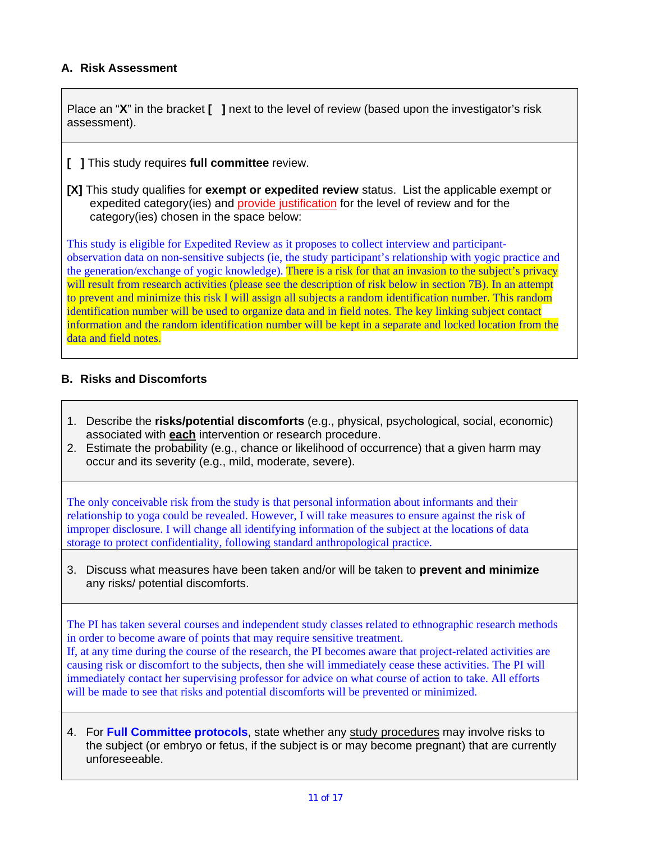## **A. Risk Assessment**

Place an "**X**" in the bracket **[ ]** next to the level of review (based upon the investigator's risk assessment).

- **[ ]** This study requires **full committee** review.
- **[X]** This study qualifies for **exempt or expedited review** status. List the applicable exempt or expedited category(ies) and **provide justification** for the level of review and for the category(ies) chosen in the space below:

This study is eligible for Expedited Review as it proposes to collect interview and participantobservation data on non-sensitive subjects (ie, the study participant's relationship with yogic practice and the generation/exchange of yogic knowledge). There is a risk for that an invasion to the subject's privacy will result from research activities (please see the description of risk below in section 7B). In an attempt to prevent and minimize this risk I will assign all subjects a random identification number. This random identification number will be used to organize data and in field notes. The key linking subject contact information and the random identification number will be kept in a separate and locked location from the data and field notes.

#### **B. Risks and Discomforts**

- 1. Describe the **risks/potential discomforts** (e.g., physical, psychological, social, economic) associated with **each** intervention or research procedure.
- 2. Estimate the probability (e.g., chance or likelihood of occurrence) that a given harm may occur and its severity (e.g., mild, moderate, severe).

The only conceivable risk from the study is that personal information about informants and their relationship to yoga could be revealed. However, I will take measures to ensure against the risk of improper disclosure. I will change all identifying information of the subject at the locations of data storage to protect confidentiality, following standard anthropological practice.

3. Discuss what measures have been taken and/or will be taken to **prevent and minimize** any risks/ potential discomforts.

The PI has taken several courses and independent study classes related to ethnographic research methods in order to become aware of points that may require sensitive treatment. If, at any time during the course of the research, the PI becomes aware that project-related activities are causing risk or discomfort to the subjects, then she will immediately cease these activities. The PI will immediately contact her supervising professor for advice on what course of action to take. All efforts

will be made to see that risks and potential discomforts will be prevented or minimized.

4. For **Full Committee protocols**, state whether any study procedures may involve risks to the subject (or embryo or fetus, if the subject is or may become pregnant) that are currently unforeseeable.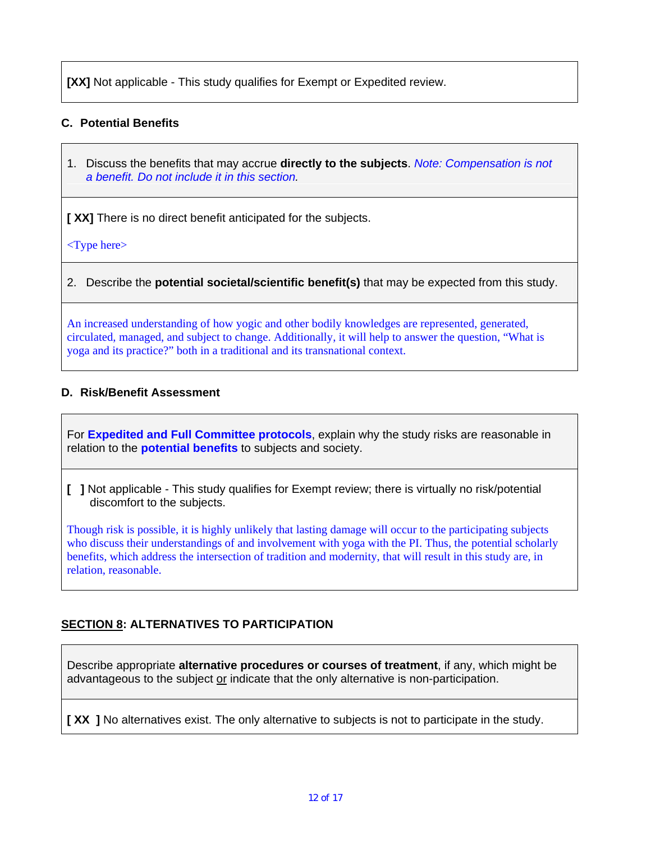**[XX]** Not applicable - This study qualifies for Exempt or Expedited review.

## **C. Potential Benefits**

1. Discuss the benefits that may accrue **directly to the subjects**. *Note: Compensation is not a benefit. Do not include it in this section.*

**[ XX]** There is no direct benefit anticipated for the subjects.

<Type here>

2. Describe the **potential societal/scientific benefit(s)** that may be expected from this study.

An increased understanding of how yogic and other bodily knowledges are represented, generated, circulated, managed, and subject to change. Additionally, it will help to answer the question, "What is yoga and its practice?" both in a traditional and its transnational context.

### **D. Risk/Benefit Assessment**

For **Expedited and Full Committee protocols**, explain why the study risks are reasonable in relation to the **potential benefits** to subjects and society.

**[ ]** Not applicable - This study qualifies for Exempt review; there is virtually no risk/potential discomfort to the subjects.

Though risk is possible, it is highly unlikely that lasting damage will occur to the participating subjects who discuss their understandings of and involvement with yoga with the PI. Thus, the potential scholarly benefits, which address the intersection of tradition and modernity, that will result in this study are, in relation, reasonable.

## **SECTION 8: ALTERNATIVES TO PARTICIPATION**

Describe appropriate **alternative procedures or courses of treatment**, if any, which might be advantageous to the subject or indicate that the only alternative is non-participation.

**[XX ]** No alternatives exist. The only alternative to subjects is not to participate in the study.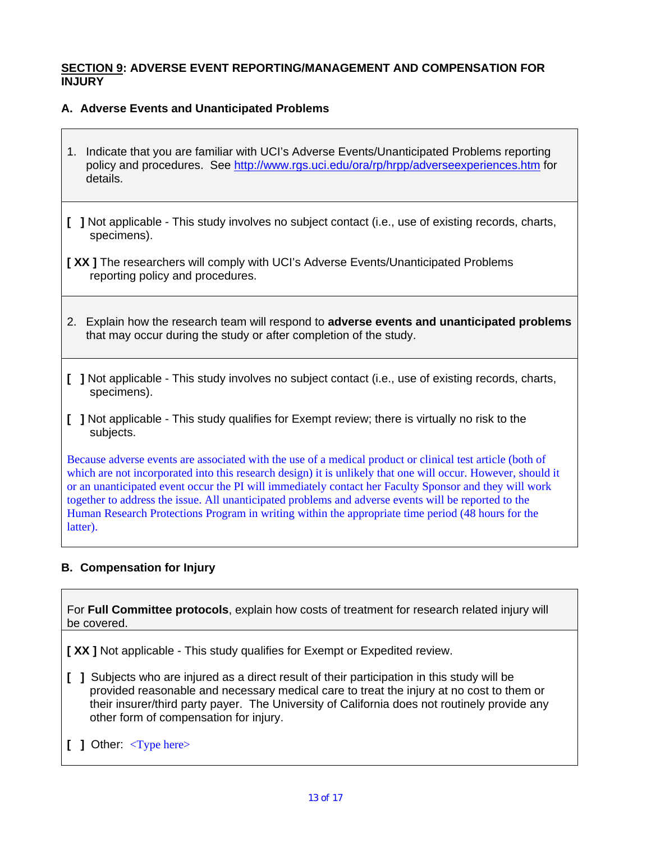#### **SECTION 9: ADVERSE EVENT REPORTING/MANAGEMENT AND COMPENSATION FOR INJURY**

### **A. Adverse Events and Unanticipated Problems**

- 1. Indicate that you are familiar with UCI's Adverse Events/Unanticipated Problems reporting policy and procedures. See<http://www.rgs.uci.edu/ora/rp/hrpp/adverseexperiences.htm> for details.
- **[ ]** Not applicable This study involves no subject contact (i.e., use of existing records, charts, specimens).

**[ XX ]** The researchers will comply with UCI's Adverse Events/Unanticipated Problems reporting policy and procedures.

- 2. Explain how the research team will respond to **adverse events and unanticipated problems**  that may occur during the study or after completion of the study.
- **[ ]** Not applicable This study involves no subject contact (i.e., use of existing records, charts, specimens).
- **[ ]** Not applicable This study qualifies for Exempt review; there is virtually no risk to the subjects.

Because adverse events are associated with the use of a medical product or clinical test article (both of which are not incorporated into this research design) it is unlikely that one will occur. However, should it or an unanticipated event occur the PI will immediately contact her Faculty Sponsor and they will work together to address the issue. All unanticipated problems and adverse events will be reported to the Human Research Protections Program in writing within the appropriate time period (48 hours for the latter).

## **B. Compensation for Injury**

For **Full Committee protocols**, explain how costs of treatment for research related injury will be covered.

**[XX ]** Not applicable - This study qualifies for Exempt or Expedited review.

- **[ ]** Subjects who are injured as a direct result of their participation in this study will be provided reasonable and necessary medical care to treat the injury at no cost to them or their insurer/third party payer. The University of California does not routinely provide any other form of compensation for injury.
- **[** ] Other: <Type here>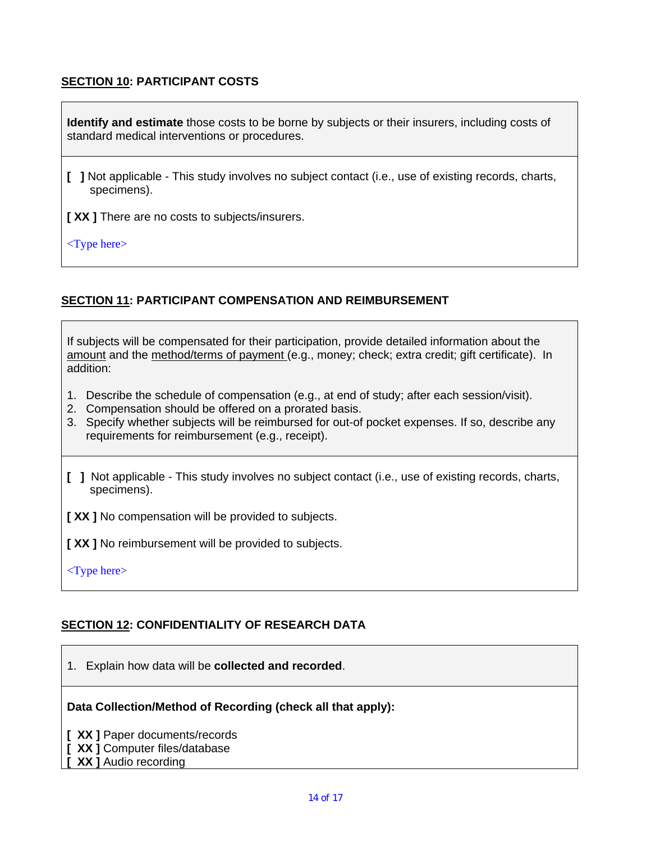## **SECTION 10: PARTICIPANT COSTS**

**Identify and estimate** those costs to be borne by subjects or their insurers, including costs of standard medical interventions or procedures.

**[ ]** Not applicable - This study involves no subject contact (i.e., use of existing records, charts, specimens).

**[XX ]** There are no costs to subjects/insurers.

<Type here>

### **SECTION 11: PARTICIPANT COMPENSATION AND REIMBURSEMENT**

If subjects will be compensated for their participation, provide detailed information about the amount and the method/terms of payment (e.g., money; check; extra credit; gift certificate). In addition:

- 1. Describe the schedule of compensation (e.g., at end of study; after each session/visit).
- 2. Compensation should be offered on a prorated basis.
- 3. Specify whether subjects will be reimbursed for out-of pocket expenses. If so, describe any requirements for reimbursement (e.g., receipt).
- **[ ]** Not applicable This study involves no subject contact (i.e., use of existing records, charts, specimens).

**[XX ]** No compensation will be provided to subjects.

[ XX ] No reimbursement will be provided to subjects.

<Type here>

## **SECTION 12: CONFIDENTIALITY OF RESEARCH DATA**

1. Explain how data will be **collected and recorded**.

#### **Data Collection/Method of Recording (check all that apply):**

**[ XX ]** Paper documents/records

- [XX ] Computer files/database
- **KX ]** Audio recording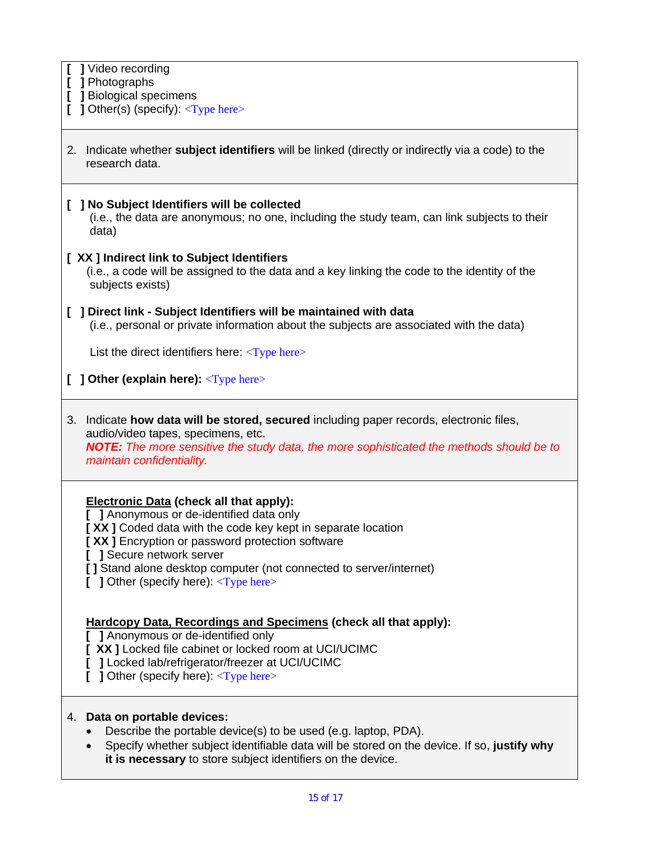- **[ ]** Video recording
- **[ ]** Photographs
- **[ ]** Biological specimens
- **[ ]** Other(s) (specify): <Type here>
- 2. Indicate whether **subject identifiers** will be linked (directly or indirectly via a code) to the research data.

## **[ ] No Subject Identifiers will be collected**

(i.e., the data are anonymous; no one, including the study team, can link subjects to their data)

### **[ XX ] Indirect link to Subject Identifiers**

 (i.e., a code will be assigned to the data and a key linking the code to the identity of the subjects exists)

# **[ ] Direct link - Subject Identifiers will be maintained with data**

(i.e., personal or private information about the subjects are associated with the data)

List the direct identifiers here:  $\langle \text{Type here} \rangle$ 

- **[ ] Other (explain here):** <Type here>
- 3. Indicate **how data will be stored, secured** including paper records, electronic files, audio/video tapes, specimens, etc.

*NOTE: The more sensitive the study data, the more sophisticated the methods should be to maintain confidentiality.*

### **Electronic Data (check all that apply):**

- **[ ]** Anonymous or de-identified data only
- [ XX ] Coded data with the code key kept in separate location
- **[XX ]** Encryption or password protection software
- **[ ]** Secure network server
- **[ ]** Stand alone desktop computer (not connected to server/internet)
- **[ ] Other (specify here): <Type here>**

## **Hardcopy Data, Recordings and Specimens (check all that apply):**

**[ ]** Anonymous or de-identified only

- **[ XX ]** Locked file cabinet or locked room at UCI/UCIMC
- **[ ]** Locked lab/refrigerator/freezer at UCI/UCIMC
- **[ ] Other (specify here): <Type here>**

### 4. **Data on portable devices:**

- Describe the portable device(s) to be used (e.g. laptop, PDA).
- Specify whether subject identifiable data will be stored on the device. If so, **justify why it is necessary** to store subject identifiers on the device.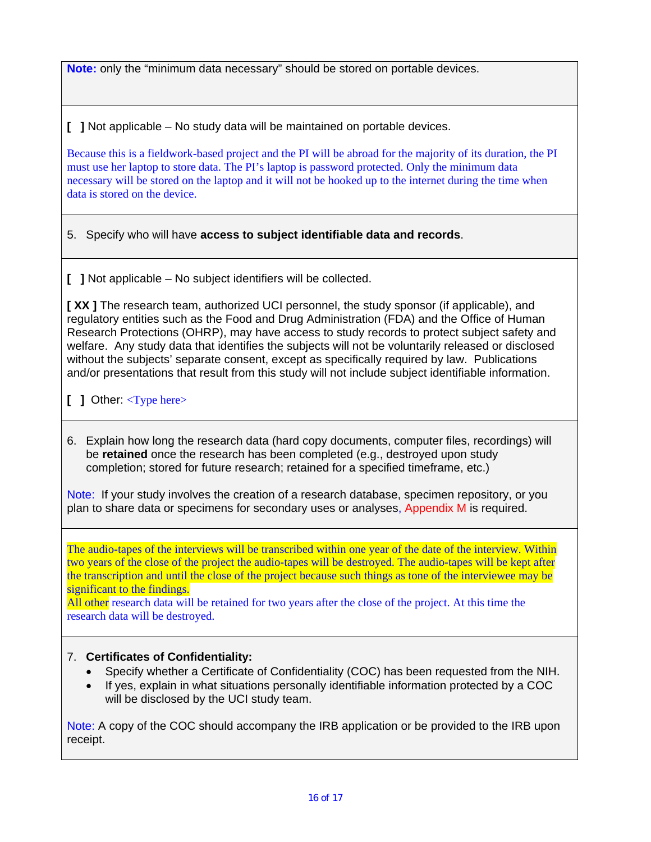**Note:** only the "minimum data necessary" should be stored on portable devices.

**[ ]** Not applicable – No study data will be maintained on portable devices.

Because this is a fieldwork-based project and the PI will be abroad for the majority of its duration, the PI must use her laptop to store data. The PI's laptop is password protected. Only the minimum data necessary will be stored on the laptop and it will not be hooked up to the internet during the time when data is stored on the device.

- 5. Specify who will have **access to subject identifiable data and records**.
- **[ ]** Not applicable No subject identifiers will be collected.

**[XX ]** The research team, authorized UCI personnel, the study sponsor (if applicable), and regulatory entities such as the Food and Drug Administration (FDA) and the Office of Human Research Protections (OHRP), may have access to study records to protect subject safety and welfare. Any study data that identifies the subjects will not be voluntarily released or disclosed without the subjects' separate consent, except as specifically required by law. Publications and/or presentations that result from this study will not include subject identifiable information.

- **[ ]** Other: <Type here>
- 6. Explain how long the research data (hard copy documents, computer files, recordings) will be **retained** once the research has been completed (e.g., destroyed upon study completion; stored for future research; retained for a specified timeframe, etc.)

Note: If your study involves the creation of a research database, specimen repository, or you plan to share data or specimens for secondary uses or analyses, Appendix M is required.

The audio-tapes of the interviews will be transcribed within one year of the date of the interview. Within two years of the close of the project the audio-tapes will be destroyed. The audio-tapes will be kept after the transcription and until the close of the project because such things as tone of the interviewee may be significant to the findings.

All other research data will be retained for two years after the close of the project. At this time the research data will be destroyed.

### 7. **Certificates of Confidentiality:**

- Specify whether a Certificate of Confidentiality (COC) has been requested from the NIH.
- If yes, explain in what situations personally identifiable information protected by a COC will be disclosed by the UCI study team.

Note: A copy of the COC should accompany the IRB application or be provided to the IRB upon receipt.